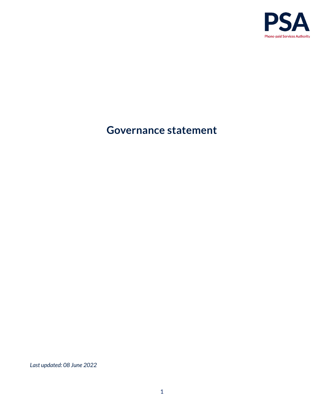

# **Governance statement**

*Last updated: 08 June 2022*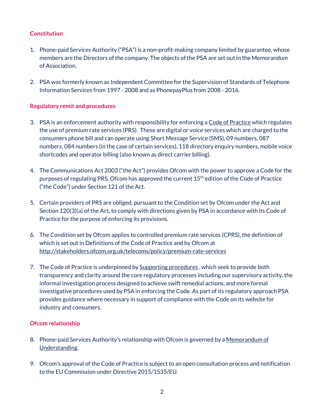# **Constitution**

- 1. Phone-paid Services Authority ("PSA") is a non-profit-making company limited by guarantee, whose members are the Directors of the company. The objects of the PSA are set out in the Memorandum of Association.
- 2. PSA was formerly known as Independent Committee for the Supervision of Standards of Telephone Information Services from 1997 - 2008 and as PhonepayPlus from 2008 - 2016.

# **Regulatory remit and procedures**

- 3. PSA is an enforcement authority with responsibility for enforcing [a Code of Practice](https://psauthority.org.uk/-/media/Files/PSA/00NEW-website/For-business/Code-guidance-and-compliance/Code-of-Practice/PSA_Code_of_Practice_15th_18-05-2022.ashx) which regulates the use of premium rate services (PRS). These are digital or voice services which are charged to the consumers phone bill and can operate using Short Message Service (SMS), 09 numbers, 087 numbers, 084 numbers (in the case of certain services), 118 directory enquiry numbers, mobile voice shortcodes and operator billing (also known as direct carrier billing).
- 4. The Communications Act 2003 ("the Act") provides Ofcom with the power to approve a Code for the purposes of regulating PRS. Ofcom has approved the current 15<sup>th</sup> edition of the Code of Practice ("the Code") under Section 121 of the Act.
- 5. Certain providers of PRS are obliged, pursuant to the Condition set by Ofcom under the Act and Section 120(3)(a) of the Act, to comply with directions given by PSA in accordance with its Code of Practice for the purpose of enforcing its provisions.
- 6. The Condition set by Ofcom applies to controlled premium rate services (CPRS), the definition of which is set out in Definitions of the Code of Practice and by Ofcom at <http://stakeholders.ofcom.org.uk/telecoms/policy/premium-rate-services>
- 7. The Code of Practice is underpinned by [Supporting procedures](https://psauthority.org.uk/-/media/Files/PSA/00NEW-website/For-business/Code-guidance-and-compliance/Other-important-documents/Code-15/Code-15-Procedures-05-April-2022.ashx), which seek to provide both transparency and clarity around the core regulatory processes including our supervisory activity, the informal investigation process designed to achieve swift remedial actions, and more formal investigative procedures used by PSA in enforcing the Code. As part of its regulatory approach PSA provides guidance where necessary in support of compliance with the Code on its website for industry and consumers.

# **Ofcom relationship**

- 8. Phone-paid Services Authority's relationship with Ofcom is governed by a Memorandum of [Understanding.](https://psauthority.org.uk/-/media/Files/PSA/About_us/Publication-scheme/MOUs/MOU--Ofcom-and-Phonepaid-Services-Authority.ashx?la=en&hash=01C14685390EC334358BCB24A730BF8BC681AD6D)
- 9. Ofcom's approval of the Code of Practice is subject to an open consultation process and notification to the EU Commission under Directive 2015/1535/EU.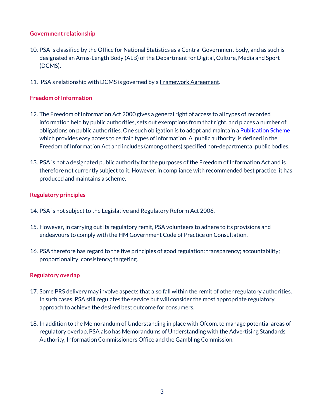#### **Government relationship**

- 10. PSA is classified by the Office for National Statistics as a Central Government body, and as such is designated an Arms-Length Body (ALB) of the Department for Digital, Culture, Media and Sport (DCMS).
- 11. PSA's relationship with DCMS is governed by a **Framework Agreement**.

## **Freedom of Information**

- 12. The Freedom of Information Act 2000 gives a general right of access to all types of recorded information held by public authorities, sets out exemptions from that right, and places a number of obligations on public authorities. One such obligation is to adopt and maintain a **Publication Scheme** which provides easy access to certain types of information. A 'public authority' is defined in the Freedom of Information Act and includes (among others) specified non-departmental public bodies.
- 13. PSA is not a designated public authority for the purposes of the Freedom of Information Act and is therefore not currently subject to it. However, in compliance with recommended best practice, it has produced and maintains a scheme.

## **Regulatory principles**

- 14. PSA is not subject to the Legislative and Regulatory Reform Act 2006.
- 15. However, in carrying out its regulatory remit, PSA volunteers to adhere to its provisions and endeavours to comply with the HM Government Code of Practice on Consultation.
- 16. PSA therefore has regard to the five principles of good regulation: transparency; accountability; proportionality; consistency; targeting.

# **Regulatory overlap**

- 17. Some PRS delivery may involve aspects that also fall within the remit of other regulatory authorities. In such cases, PSA still regulates the service but will consider the most appropriate regulatory approach to achieve the desired best outcome for consumers.
- 18. In addition to the Memorandum of Understanding in place with Ofcom, to manage potential areas of regulatory overlap, PSA also has Memorandums of Understanding with the Advertising Standards Authority, Information Commissioners Office and the Gambling Commission.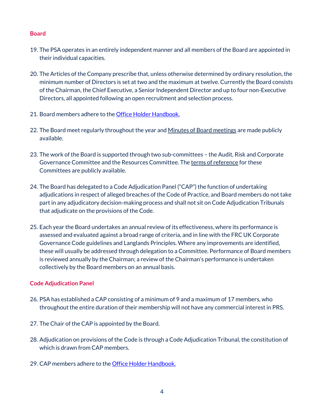#### **Board**

- 19. The PSA operates in an entirely independent manner and all members of the Board are appointed in their individual capacities.
- 20. The Articles of the Company prescribe that, unless otherwise determined by ordinary resolution, the minimum number of Directors is set at two and the maximum at twelve. Currently the Board consists of the Chairman, the Chief Executive, a Senior Independent Director and up to four non-Executive Directors, all appointed following an open recruitment and selection process.
- 21. Board members adhere to the [Office Holder Handbook.](https://psauthority.org.uk/-/media/Files/PSA/00NEW-website/About-us/About-us/PSA-Office-Holders-Handbook-25-April-2022.ashx)
- 22. The Board meet regularly throughout the year an[d Minutes of Board meetings](https://psauthority.org.uk/About-Us/The-Board) are made publicly available.
- 23. The work of the Board is supported through two sub-committees the Audit, Risk and Corporate Governance Committee and the Resources Committee. Th[e terms of reference](https://psauthority.org.uk/-/media/Files/PSA/00NEW-website/About-us/Board-and-CAP/Board-sub-committees-29-01-2020.ashx) for these Committees are publicly available.
- 24. The Board has delegated to a Code Adjudication Panel ("CAP") the function of undertaking adjudications in respect of alleged breaches of the Code of Practice, and Board members do not take part in any adjudicatory decision-making process and shall not sit on Code Adjudication Tribunals that adjudicate on the provisions of the Code.
- 25. Each year the Board undertakes an annual review of its effectiveness, where its performance is assessed and evaluated against a broad range of criteria, and in line with the FRC UK Corporate Governance Code guidelines and Langlands Principles. Where any improvements are identified, these will usually be addressed through delegation to a Committee. Performance of Board members is reviewed annually by the Chairman; a review of the Chairman's performance is undertaken collectively by the Board members on an annual basis.

# **Code Adjudication Panel**

- 26. PSA has established a CAP consisting of a minimum of 9 and a maximum of 17 members, who throughout the entire duration of their membership will not have any commercial interest in PRS.
- 27. The Chair of the CAP is appointed by the Board.
- 28. Adjudication on provisions of the Code is through a Code Adjudication Tribunal, the constitution of which is drawn from CAP members.
- 29. CAP members adhere to the [Office Holder Handbook.](https://psauthority.org.uk/-/media/Files/PSA/00NEW-website/About-us/About-us/PSA-Office-Holders-Handbook-25-April-2022.ashx)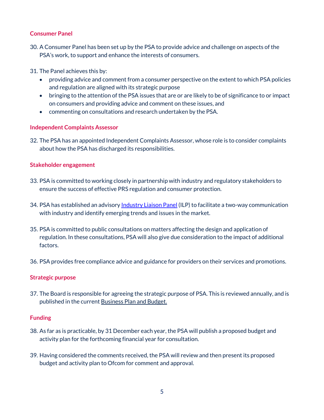## **Consumer Panel**

30. A Consumer Panel has been set up by the PSA to provide advice and challenge on aspects of the PSA's work, to support and enhance the interests of consumers.

31. The Panel achieves this by:

- providing advice and comment from a consumer perspective on the extent to which PSA policies and regulation are aligned with its strategic purpose
- bringing to the attention of the PSA issues that are or are likely to be of significance to or impact on consumers and providing advice and comment on these issues, and
- commenting on consultations and research undertaken by the PSA.

# **Independent Complaints Assessor**

32. The PSA has an appointe[d Independent Complaints Assessor,](https://psauthority.org.uk/about-us/complaints-about-us-and-whistleblowing) whose role is to consider complaints about how the PSA has discharged its responsibilities.

## **Stakeholder engagement**

- 33. PSA is committed to working closely in partnership with industry and regulatory stakeholders to ensure the success of effective PRS regulation and consumer protection.
- 34. PSA has established an advisor[y Industry Liaison Panel](https://psauthority.org.uk/About-Us/Industry-Liaison-Panel) (ILP) to facilitate a two-way communication with industry and identify emerging trends and issues in the market.
- 35. PSA is committed to public consultations on matters affecting the design and application of regulation. In these consultations, PSA will also give due consideration to the impact of additional factors.
- 36. PSA provides free compliance advice and guidance for providers on their services and promotions.

# **Strategic purpose**

37. The Board is responsible for agreeing the strategic purpose of PSA. This is reviewed annually, and is published in the current [Business Plan and Budget.](https://psauthority.org.uk/-/media/Files/PSA/00NEW-website/Publication-scheme/Business-Plan-and-Budget-2022-2023.ashx)

#### **Funding**

- 38. As far as is practicable, by 31 December each year, the PSA will publish a proposed budget and activity plan for the forthcoming financial year for consultation.
- 39. Having considered the comments received, the PSA will review and then present its proposed budget and activity plan to Ofcom for comment and approval.